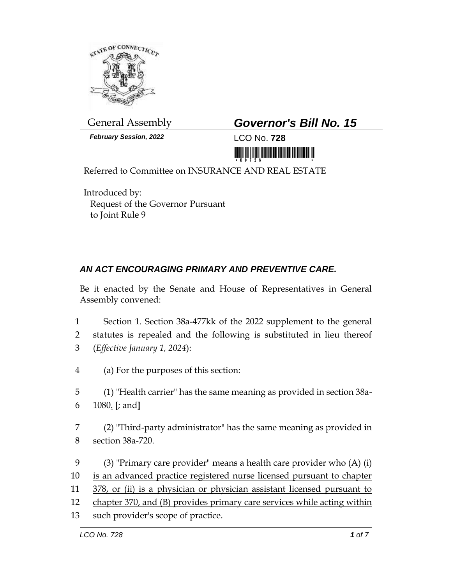

General Assembly *Governor's Bill No. 15*

*February Session, 2022* LCO No. **728**



Referred to Committee on INSURANCE AND REAL ESTATE

Introduced by: Request of the Governor Pursuant to Joint Rule 9

## *AN ACT ENCOURAGING PRIMARY AND PREVENTIVE CARE.*

Be it enacted by the Senate and House of Representatives in General Assembly convened:

- 1 Section 1. Section 38a-477kk of the 2022 supplement to the general
- 2 statutes is repealed and the following is substituted in lieu thereof 3 (*Effective January 1, 2024*):
- 4 (a) For the purposes of this section:
- 5 (1) "Health carrier" has the same meaning as provided in section 38a-6 1080. **[**; and**]**
- 7 (2) "Third-party administrator" has the same meaning as provided in 8 section 38a-720.
- 9 (3) "Primary care provider" means a health care provider who (A) (i) 10 is an advanced practice registered nurse licensed pursuant to chapter 11 378, or (ii) is a physician or physician assistant licensed pursuant to 12 chapter 370, and (B) provides primary care services while acting within 13 such provider's scope of practice.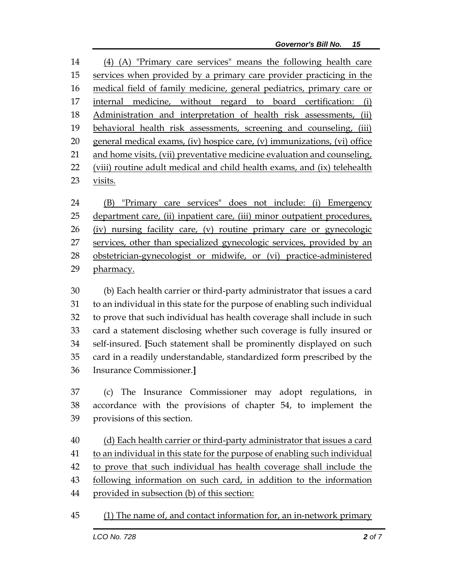(4) (A) "Primary care services" means the following health care services when provided by a primary care provider practicing in the medical field of family medicine, general pediatrics, primary care or internal medicine, without regard to board certification: (i) Administration and interpretation of health risk assessments, (ii) behavioral health risk assessments, screening and counseling, (iii) general medical exams, (iv) hospice care, (v) immunizations, (vi) office and home visits, (vii) preventative medicine evaluation and counseling, (viii) routine adult medical and child health exams, and (ix) telehealth visits.

 (B) "Primary care services" does not include: (i) Emergency department care, (ii) inpatient care, (iii) minor outpatient procedures, (iv) nursing facility care, (v) routine primary care or gynecologic 27 services, other than specialized gynecologic services, provided by an obstetrician-gynecologist or midwife, or (vi) practice-administered pharmacy.

 (b) Each health carrier or third-party administrator that issues a card to an individual in this state for the purpose of enabling such individual to prove that such individual has health coverage shall include in such card a statement disclosing whether such coverage is fully insured or self-insured. **[**Such statement shall be prominently displayed on such card in a readily understandable, standardized form prescribed by the Insurance Commissioner.**]**

 (c) The Insurance Commissioner may adopt regulations, in accordance with the provisions of chapter 54, to implement the provisions of this section.

 (d) Each health carrier or third-party administrator that issues a card to an individual in this state for the purpose of enabling such individual to prove that such individual has health coverage shall include the 43 following information on such card, in addition to the information provided in subsection (b) of this section:

(1) The name of, and contact information for, an in-network primary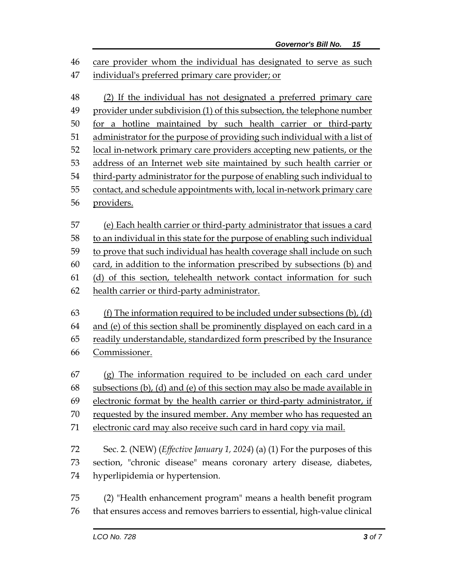46 care provider whom the individual has designated to serve as such individual's preferred primary care provider; or (2) If the individual has not designated a preferred primary care provider under subdivision (1) of this subsection, the telephone number for a hotline maintained by such health carrier or third-party administrator for the purpose of providing such individual with a list of 52 local in-network primary care providers accepting new patients, or the address of an Internet web site maintained by such health carrier or third-party administrator for the purpose of enabling such individual to contact, and schedule appointments with, local in-network primary care providers. (e) Each health carrier or third-party administrator that issues a card to an individual in this state for the purpose of enabling such individual to prove that such individual has health coverage shall include on such card, in addition to the information prescribed by subsections (b) and (d) of this section, telehealth network contact information for such health carrier or third-party administrator. (f) The information required to be included under subsections (b), (d) and (e) of this section shall be prominently displayed on each card in a readily understandable, standardized form prescribed by the Insurance Commissioner. (g) The information required to be included on each card under subsections (b), (d) and (e) of this section may also be made available in electronic format by the health carrier or third-party administrator, if requested by the insured member. Any member who has requested an electronic card may also receive such card in hard copy via mail. Sec. 2. (NEW) (*Effective January 1, 2024*) (a) (1) For the purposes of this section, "chronic disease" means coronary artery disease, diabetes, hyperlipidemia or hypertension. (2) "Health enhancement program" means a health benefit program that ensures access and removes barriers to essential, high-value clinical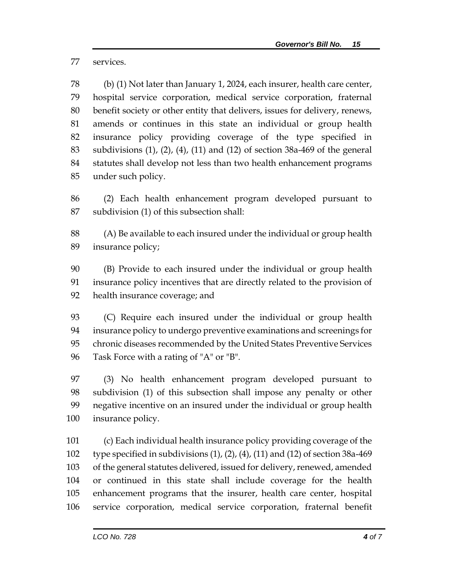services.

 (b) (1) Not later than January 1, 2024, each insurer, health care center, hospital service corporation, medical service corporation, fraternal benefit society or other entity that delivers, issues for delivery, renews, amends or continues in this state an individual or group health insurance policy providing coverage of the type specified in subdivisions (1), (2), (4), (11) and (12) of section 38a-469 of the general statutes shall develop not less than two health enhancement programs under such policy.

 (2) Each health enhancement program developed pursuant to subdivision (1) of this subsection shall:

 (A) Be available to each insured under the individual or group health insurance policy;

 (B) Provide to each insured under the individual or group health insurance policy incentives that are directly related to the provision of health insurance coverage; and

 (C) Require each insured under the individual or group health insurance policy to undergo preventive examinations and screenings for chronic diseases recommended by the United States Preventive Services Task Force with a rating of "A" or "B".

 (3) No health enhancement program developed pursuant to subdivision (1) of this subsection shall impose any penalty or other negative incentive on an insured under the individual or group health insurance policy.

 (c) Each individual health insurance policy providing coverage of the 102 type specified in subdivisions  $(1)$ ,  $(2)$ ,  $(4)$ ,  $(11)$  and  $(12)$  of section 38a-469 of the general statutes delivered, issued for delivery, renewed, amended or continued in this state shall include coverage for the health enhancement programs that the insurer, health care center, hospital service corporation, medical service corporation, fraternal benefit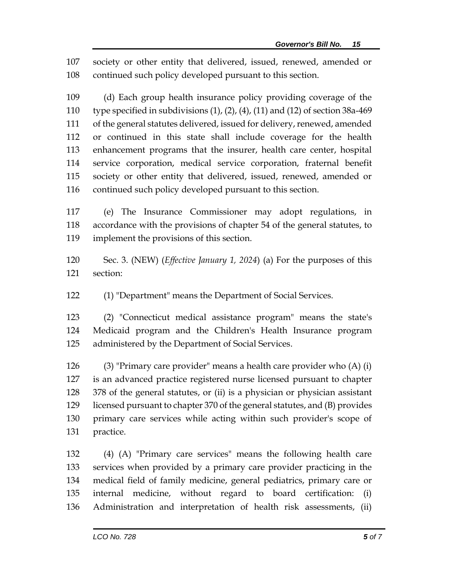society or other entity that delivered, issued, renewed, amended or continued such policy developed pursuant to this section.

 (d) Each group health insurance policy providing coverage of the type specified in subdivisions (1), (2), (4), (11) and (12) of section 38a-469 of the general statutes delivered, issued for delivery, renewed, amended or continued in this state shall include coverage for the health enhancement programs that the insurer, health care center, hospital service corporation, medical service corporation, fraternal benefit society or other entity that delivered, issued, renewed, amended or continued such policy developed pursuant to this section.

 (e) The Insurance Commissioner may adopt regulations, in accordance with the provisions of chapter 54 of the general statutes, to implement the provisions of this section.

 Sec. 3. (NEW) (*Effective January 1, 2024*) (a) For the purposes of this section:

(1) "Department" means the Department of Social Services.

 (2) "Connecticut medical assistance program" means the state's Medicaid program and the Children's Health Insurance program administered by the Department of Social Services.

 (3) "Primary care provider" means a health care provider who (A) (i) is an advanced practice registered nurse licensed pursuant to chapter 378 of the general statutes, or (ii) is a physician or physician assistant licensed pursuant to chapter 370 of the general statutes, and (B) provides primary care services while acting within such provider's scope of practice.

 (4) (A) "Primary care services" means the following health care services when provided by a primary care provider practicing in the medical field of family medicine, general pediatrics, primary care or internal medicine, without regard to board certification: (i) Administration and interpretation of health risk assessments, (ii)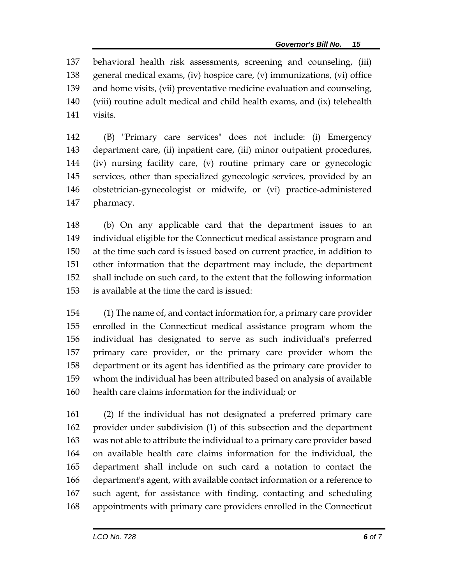behavioral health risk assessments, screening and counseling, (iii) general medical exams, (iv) hospice care, (v) immunizations, (vi) office and home visits, (vii) preventative medicine evaluation and counseling, (viii) routine adult medical and child health exams, and (ix) telehealth visits.

 (B) "Primary care services" does not include: (i) Emergency department care, (ii) inpatient care, (iii) minor outpatient procedures, (iv) nursing facility care, (v) routine primary care or gynecologic services, other than specialized gynecologic services, provided by an obstetrician-gynecologist or midwife, or (vi) practice-administered pharmacy.

 (b) On any applicable card that the department issues to an individual eligible for the Connecticut medical assistance program and at the time such card is issued based on current practice, in addition to other information that the department may include, the department shall include on such card, to the extent that the following information is available at the time the card is issued:

 (1) The name of, and contact information for, a primary care provider enrolled in the Connecticut medical assistance program whom the individual has designated to serve as such individual's preferred primary care provider, or the primary care provider whom the department or its agent has identified as the primary care provider to whom the individual has been attributed based on analysis of available health care claims information for the individual; or

 (2) If the individual has not designated a preferred primary care provider under subdivision (1) of this subsection and the department was not able to attribute the individual to a primary care provider based on available health care claims information for the individual, the department shall include on such card a notation to contact the department's agent, with available contact information or a reference to such agent, for assistance with finding, contacting and scheduling appointments with primary care providers enrolled in the Connecticut